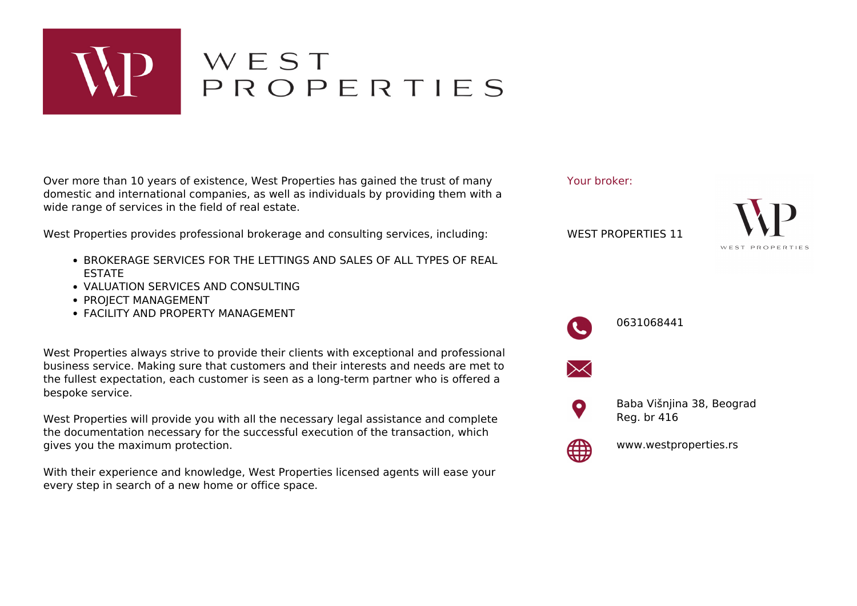

## WEST<br>PROPERTIES

Over more than 10 years of existence, West Properties has gained the trust of many domestic and international companies, as well as individuals by providing them with a wide range of services in the field of real estate.

West Properties provides professional brokerage and consulting services, including:

- **BROKERAGE SERVICES FOR THE LETTINGS AND SALES OF ALL TYPES OF REAL** ESTATE
- VALUATION SERVICES AND CONSULTING
- PROJECT MANAGEMENT
- FACILITY AND PROPERTY MANAGEMENT

West Properties always strive to provide their clients with exceptional and professional business service. Making sure that customers and their interests and needs are met to the fullest expectation, each customer is seen as a long-term partner who is offered a bespoke service.

West Properties will provide you with all the necessary legal assistance and complete the documentation necessary for the successful execution of the transaction, which gives you the maximum protection.

With their experience and knowledge, West Properties licensed agents will ease your every step in search of a new home or office space.

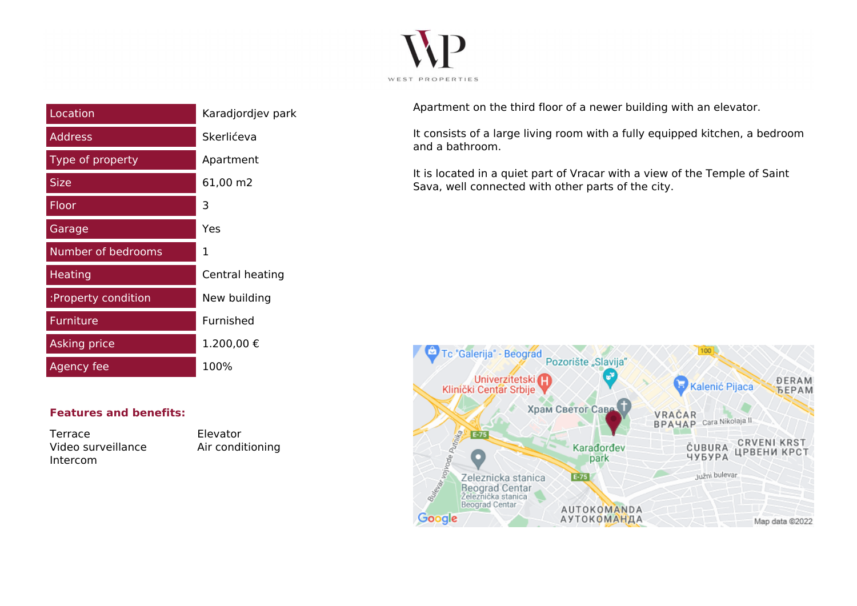

| Location            | Karadjordjev park |
|---------------------|-------------------|
| <b>Address</b>      | Skerlićeva        |
| Type of property    | Apartment         |
| <b>Size</b>         | 61,00 m2          |
| Floor               | 3                 |
| Garage              | Yes               |
| Number of bedrooms  | 1                 |
| <b>Heating</b>      | Central heating   |
| :Property condition | New building      |
| Furniture           | Furnished         |
| <b>Asking price</b> | 1.200,00€         |
| Agency fee          | 100%              |

**Features and benefits:**

Terrace Elevator Video surveillance Air conditioning Intercom

Apartment on the third floor of a newer building with an elevator.

It consists of a large living room with a fully equipped kitchen, a bedroom and a bathroom.

It is located in a quiet part of Vracar with a view of the Temple of Saint Sava, well connected with other parts of the city.